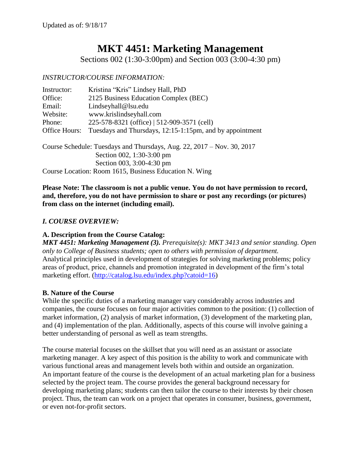# **MKT 4451: Marketing Management**

Sections 002 (1:30-3:00pm) and Section 003 (3:00-4:30 pm)

#### *INSTRUCTOR/COURSE INFORMATION:*

| Instructor:   | Kristina "Kris" Lindsey Hall, PhD                        |
|---------------|----------------------------------------------------------|
| Office:       | 2125 Business Education Complex (BEC)                    |
| Email:        | Lindseyhall@lsu.edu                                      |
| Website:      | www.krislindseyhall.com                                  |
| Phone:        | 225-578-8321 (office)   512-909-3571 (cell)              |
| Office Hours: | Tuesdays and Thursdays, 12:15-1:15pm, and by appointment |
|               |                                                          |
|               |                                                          |

Course Schedule: Tuesdays and Thursdays, Aug. 22, 2017 – Nov. 30, 2017 Section 002, 1:30-3:00 pm Section 003, 3:00-4:30 pm Course Location: Room 1615, Business Education N. Wing

**Please Note: The classroom is not a public venue. You do not have permission to record, and, therefore, you do not have permission to share or post any recordings (or pictures) from class on the internet (including email).** 

## *I. COURSE OVERVIEW:*

## **A. Description from the Course Catalog:**

*MKT 4451: Marketing Management (3). Prerequisite(s): MKT 3413 and senior standing. Open only to College of Business students; open to others with permission of department.* Analytical principles used in development of strategies for solving marketing problems; policy areas of product, price, channels and promotion integrated in development of the firm's total marketing effort. [\(http://catalog.lsu.edu/index.php?catoid=16\)](http://catalog.lsu.edu/index.php?catoid=16)

#### **B. Nature of the Course**

While the specific duties of a marketing manager vary considerably across industries and companies, the course focuses on four major activities common to the position: (1) collection of market information, (2) analysis of market information, (3) development of the marketing plan, and (4) implementation of the plan. Additionally, aspects of this course will involve gaining a better understanding of personal as well as team strengths.

The course material focuses on the skillset that you will need as an assistant or associate marketing manager. A key aspect of this position is the ability to work and communicate with various functional areas and management levels both within and outside an organization. An important feature of the course is the development of an actual marketing plan for a business selected by the project team. The course provides the general background necessary for developing marketing plans; students can then tailor the course to their interests by their chosen project. Thus, the team can work on a project that operates in consumer, business, government, or even not-for-profit sectors.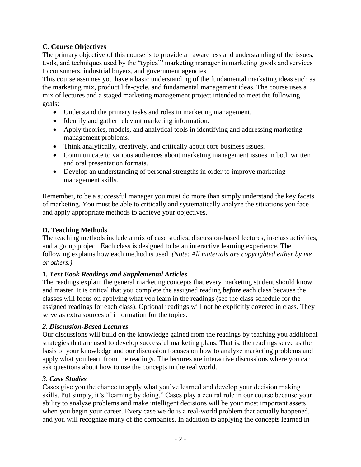## **C. Course Objectives**

The primary objective of this course is to provide an awareness and understanding of the issues, tools, and techniques used by the "typical" marketing manager in marketing goods and services to consumers, industrial buyers, and government agencies.

This course assumes you have a basic understanding of the fundamental marketing ideas such as the marketing mix, product life-cycle, and fundamental management ideas. The course uses a mix of lectures and a staged marketing management project intended to meet the following goals:

- Understand the primary tasks and roles in marketing management.
- Identify and gather relevant marketing information.
- Apply theories, models, and analytical tools in identifying and addressing marketing management problems.
- Think analytically, creatively, and critically about core business issues.
- Communicate to various audiences about marketing management issues in both written and oral presentation formats.
- Develop an understanding of personal strengths in order to improve marketing management skills.

Remember, to be a successful manager you must do more than simply understand the key facets of marketing. You must be able to critically and systematically analyze the situations you face and apply appropriate methods to achieve your objectives.

## **D. Teaching Methods**

The teaching methods include a mix of case studies, discussion-based lectures, in-class activities, and a group project. Each class is designed to be an interactive learning experience. The following explains how each method is used. *(Note: All materials are copyrighted either by me or others.)*

#### *1. Text Book Readings and Supplemental Articles*

The readings explain the general marketing concepts that every marketing student should know and master. It is critical that you complete the assigned reading *before* each class because the classes will focus on applying what you learn in the readings (see the class schedule for the assigned readings for each class). Optional readings will not be explicitly covered in class. They serve as extra sources of information for the topics.

#### *2. Discussion-Based Lectures*

Our discussions will build on the knowledge gained from the readings by teaching you additional strategies that are used to develop successful marketing plans. That is, the readings serve as the basis of your knowledge and our discussion focuses on how to analyze marketing problems and apply what you learn from the readings. The lectures are interactive discussions where you can ask questions about how to use the concepts in the real world.

#### *3. Case Studies*

Cases give you the chance to apply what you've learned and develop your decision making skills. Put simply, it's "learning by doing." Cases play a central role in our course because your ability to analyze problems and make intelligent decisions will be your most important assets when you begin your career. Every case we do is a real-world problem that actually happened, and you will recognize many of the companies. In addition to applying the concepts learned in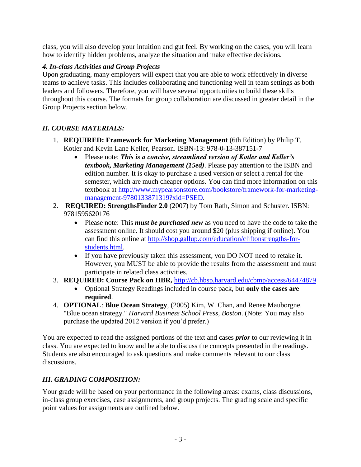class, you will also develop your intuition and gut feel. By working on the cases, you will learn how to identify hidden problems, analyze the situation and make effective decisions.

## *4. In-class Activities and Group Projects*

Upon graduating, many employers will expect that you are able to work effectively in diverse teams to achieve tasks. This includes collaborating and functioning well in team settings as both leaders and followers. Therefore, you will have several opportunities to build these skills throughout this course. The formats for group collaboration are discussed in greater detail in the Group Projects section below.

## *II. COURSE MATERIALS:*

- 1. **REQUIRED: Framework for Marketing Management** (6th Edition) by Philip T. Kotler and Kevin Lane Keller, Pearson. ISBN-13: 978-0-13-387151-7
	- Please note: *This is a concise, streamlined version of Kotler and Keller's textbook, Marketing Management (15ed)*. Please pay attention to the ISBN and edition number. It is okay to purchase a used version or select a rental for the semester, which are much cheaper options. You can find more information on this textbook at [http://www.mypearsonstore.com/bookstore/framework-for-marketing](http://www.mypearsonstore.com/bookstore/framework-for-marketing-management-9780133871319?xid=PSED)[management-9780133871319?xid=PSED.](http://www.mypearsonstore.com/bookstore/framework-for-marketing-management-9780133871319?xid=PSED)
- 2. **REQUIRED: StrengthsFinder 2.0** (2007) by Tom Rath, Simon and Schuster. ISBN: 9781595620176
	- Please note: This *must be purchased new* as you need to have the code to take the assessment online. It should cost you around \$20 (plus shipping if online). You can find this online at [http://shop.gallup.com/education/cliftonstrengths-for](http://shop.gallup.com/education/cliftonstrengths-for-students.html)[students.html.](http://shop.gallup.com/education/cliftonstrengths-for-students.html)
	- If you have previously taken this assessment, you DO NOT need to retake it. However, you MUST be able to provide the results from the assessment and must participate in related class activities.
- 3. **REQUIRED: Course Pack on HBR,** <http://cb.hbsp.harvard.edu/cbmp/access/64474879>
	- Optional Strategy Readings included in course pack, but **only the cases are required**.
- 4. **OPTIONAL**: **Blue Ocean Strategy**, (2005) Kim, W. Chan, and Renee Mauborgne. "Blue ocean strategy." *Harvard Business School Press, Boston*. (Note: You may also purchase the updated 2012 version if you'd prefer.)

You are expected to read the assigned portions of the text and cases *prior* to our reviewing it in class. You are expected to know and be able to discuss the concepts presented in the readings. Students are also encouraged to ask questions and make comments relevant to our class discussions.

## *III. GRADING COMPOSITION:*

Your grade will be based on your performance in the following areas: exams, class discussions, in-class group exercises, case assignments, and group projects. The grading scale and specific point values for assignments are outlined below.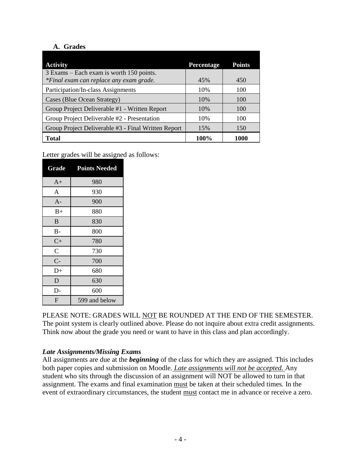## **A. Grades**

| <b>Activity</b>                                     | Percentage | <b>Points</b> |
|-----------------------------------------------------|------------|---------------|
| 3 Exams – Each exam is worth 150 points.            |            |               |
| *Final exam can replace any exam grade.             | 45%        | 450           |
| Participation/In-class Assignments                  | 10%        | 100           |
| Cases (Blue Ocean Strategy)                         | 10%        | 100           |
| Group Project Deliverable #1 - Written Report       | 10%        | 100           |
| Group Project Deliverable #2 - Presentation         | 10%        | 100           |
| Group Project Deliverable #3 - Final Written Report | 15%        | 150           |
| <b>Total</b>                                        | 100%       | 1000          |

Letter grades will be assigned as follows:

| Grade          | <b>Points Needed</b> |
|----------------|----------------------|
| $A+$           | 980                  |
| A              | 930                  |
| $A -$          | 900                  |
| $B+$           | 880                  |
| B              | 830                  |
| $B-$           | 800                  |
| $C+$           | 780                  |
| $\overline{C}$ | 730                  |
| $C-$           | 700                  |
| $D+$           | 680                  |
| D              | 630                  |
| D-             | 600                  |
| F              | 599 and below        |

PLEASE NOTE: GRADES WILL NOT BE ROUNDED AT THE END OF THE SEMESTER. The point system is clearly outlined above. Please do not inquire about extra credit assignments. Think now about the grade you need or want to have in this class and plan accordingly.

## *Late Assignments/Missing Exams*

All assignments are due at the *beginning* of the class for which they are assigned. This includes both paper copies and submission on Moodle. *Late assignments will not be accepted.* Any student who sits through the discussion of an assignment will NOT be allowed to turn in that assignment. The exams and final examination must be taken at their scheduled times. In the event of extraordinary circumstances, the student must contact me in advance or receive a zero.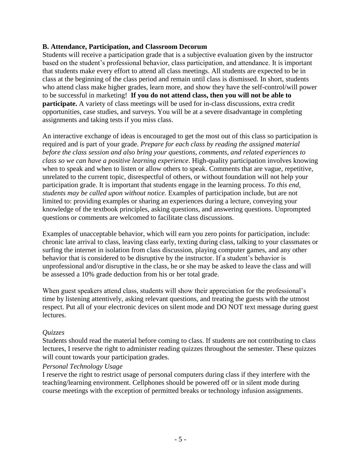#### **B. Attendance, Participation, and Classroom Decorum**

Students will receive a participation grade that is a subjective evaluation given by the instructor based on the student's professional behavior, class participation, and attendance. It is important that students make every effort to attend all class meetings. All students are expected to be in class at the beginning of the class period and remain until class is dismissed. In short, students who attend class make higher grades, learn more, and show they have the self-control/will power to be successful in marketing! **If you do not attend class, then you will not be able to participate.** A variety of class meetings will be used for in-class discussions, extra credit opportunities, case studies, and surveys. You will be at a severe disadvantage in completing assignments and taking tests if you miss class.

An interactive exchange of ideas is encouraged to get the most out of this class so participation is required and is part of your grade. *Prepare for each class by reading the assigned material before the class session and also bring your questions, comments, and related experiences to class so we can have a positive learning experience*. High-quality participation involves knowing when to speak and when to listen or allow others to speak. Comments that are vague, repetitive, unrelated to the current topic, disrespectful of others, or without foundation will not help your participation grade. It is important that students engage in the learning process. *To this end, students may be called upon without notice.* Examples of participation include, but are not limited to: providing examples or sharing an experiences during a lecture, conveying your knowledge of the textbook principles, asking questions, and answering questions. Unprompted questions or comments are welcomed to facilitate class discussions.

Examples of unacceptable behavior, which will earn you zero points for participation, include: chronic late arrival to class, leaving class early, texting during class, talking to your classmates or surfing the internet in isolation from class discussion, playing computer games, and any other behavior that is considered to be disruptive by the instructor. If a student's behavior is unprofessional and/or disruptive in the class, he or she may be asked to leave the class and will be assessed a 10% grade deduction from his or her total grade.

When guest speakers attend class, students will show their appreciation for the professional's time by listening attentively, asking relevant questions, and treating the guests with the utmost respect. Put all of your electronic devices on silent mode and DO NOT text message during guest lectures.

#### *Quizzes*

Students should read the material before coming to class. If students are not contributing to class lectures, I reserve the right to administer reading quizzes throughout the semester. These quizzes will count towards your participation grades.

#### *Personal Technology Usage*

I reserve the right to restrict usage of personal computers during class if they interfere with the teaching/learning environment. Cellphones should be powered off or in silent mode during course meetings with the exception of permitted breaks or technology infusion assignments.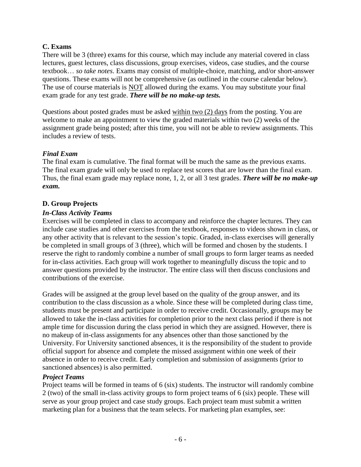#### **C. Exams**

There will be 3 (three) exams for this course, which may include any material covered in class lectures, guest lectures, class discussions, group exercises, videos, case studies, and the course textbook… *so take notes*. Exams may consist of multiple-choice, matching, and/or short-answer questions. These exams will not be comprehensive (as outlined in the course calendar below). The use of course materials is NOT allowed during the exams. You may substitute your final exam grade for any test grade. *There will be no make-up tests.*

Questions about posted grades must be asked within two (2) days from the posting. You are welcome to make an appointment to view the graded materials within two (2) weeks of the assignment grade being posted; after this time, you will not be able to review assignments. This includes a review of tests.

#### *Final Exam*

The final exam is cumulative. The final format will be much the same as the previous exams. The final exam grade will only be used to replace test scores that are lower than the final exam. Thus, the final exam grade may replace none, 1, 2, or all 3 test grades. *There will be no make-up exam.*

#### **D. Group Projects**

#### *In-Class Activity Teams*

Exercises will be completed in class to accompany and reinforce the chapter lectures. They can include case studies and other exercises from the textbook, responses to videos shown in class, or any other activity that is relevant to the session's topic. Graded, in-class exercises will generally be completed in small groups of 3 (three), which will be formed and chosen by the students. I reserve the right to randomly combine a number of small groups to form larger teams as needed for in-class activities. Each group will work together to meaningfully discuss the topic and to answer questions provided by the instructor. The entire class will then discuss conclusions and contributions of the exercise.

Grades will be assigned at the group level based on the quality of the group answer, and its contribution to the class discussion as a whole. Since these will be completed during class time, students must be present and participate in order to receive credit. Occasionally, groups may be allowed to take the in-class activities for completion prior to the next class period if there is not ample time for discussion during the class period in which they are assigned. However, there is no makeup of in-class assignments for any absences other than those sanctioned by the University. For University sanctioned absences, it is the responsibility of the student to provide official support for absence and complete the missed assignment within one week of their absence in order to receive credit. Early completion and submission of assignments (prior to sanctioned absences) is also permitted.

#### *Project Teams*

Project teams will be formed in teams of 6 (six) students. The instructor will randomly combine 2 (two) of the small in-class activity groups to form project teams of 6 (six) people. These will serve as your group project and case study groups. Each project team must submit a written marketing plan for a business that the team selects. For marketing plan examples, see: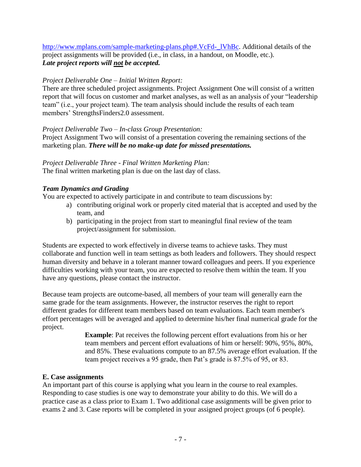[http://www.mplans.com/sample-marketing-plans.php#.VcFd-\\_lVhBc.](http://www.mplans.com/sample-marketing-plans.php#.VcFd-_lVhBc) Additional details of the project assignments will be provided (i.e., in class, in a handout, on Moodle, etc.). *Late project reports will not be accepted.*

#### *Project Deliverable One – Initial Written Report:*

There are three scheduled project assignments. Project Assignment One will consist of a written report that will focus on customer and market analyses, as well as an analysis of your "leadership team" (i.e., your project team). The team analysis should include the results of each team members' StrengthsFinders2.0 assessment.

#### *Project Deliverable Two – In-class Group Presentation:*

Project Assignment Two will consist of a presentation covering the remaining sections of the marketing plan. *There will be no make-up date for missed presentations.*

*Project Deliverable Three - Final Written Marketing Plan:* The final written marketing plan is due on the last day of class.

## *Team Dynamics and Grading*

You are expected to actively participate in and contribute to team discussions by:

- a) contributing original work or properly cited material that is accepted and used by the team, and
- b) participating in the project from start to meaningful final review of the team project/assignment for submission.

Students are expected to work effectively in diverse teams to achieve tasks. They must collaborate and function well in team settings as both leaders and followers. They should respect human diversity and behave in a tolerant manner toward colleagues and peers. If you experience difficulties working with your team, you are expected to resolve them within the team. If you have any questions, please contact the instructor.

Because team projects are outcome-based, all members of your team will generally earn the same grade for the team assignments. However, the instructor reserves the right to report different grades for different team members based on team evaluations. Each team member's effort percentages will be averaged and applied to determine his/her final numerical grade for the project.

> **Example**: Pat receives the following percent effort evaluations from his or her team members and percent effort evaluations of him or herself: 90%, 95%, 80%, and 85%. These evaluations compute to an 87.5% average effort evaluation. If the team project receives a 95 grade, then Pat's grade is 87.5% of 95, or 83.

#### **E. Case assignments**

An important part of this course is applying what you learn in the course to real examples. Responding to case studies is one way to demonstrate your ability to do this. We will do a practice case as a class prior to Exam 1. Two additional case assignments will be given prior to exams 2 and 3. Case reports will be completed in your assigned project groups (of 6 people).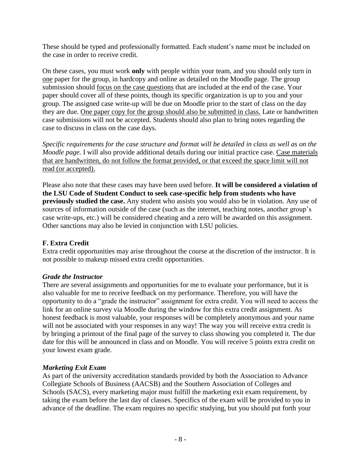These should be typed and professionally formatted. Each student's name must be included on the case in order to receive credit.

On these cases, you must work **only** with people within your team, and you should only turn in one paper for the group, in hardcopy and online as detailed on the Moodle page. The group submission should focus on the case questions that are included at the end of the case. Your paper should cover all of these points, though its specific organization is up to you and your group. The assigned case write-up will be due on Moodle prior to the start of class on the day they are due. One paper copy for the group should also be submitted in class. Late or handwritten case submissions will not be accepted. Students should also plan to bring notes regarding the case to discuss in class on the case days.

*Specific requirements for the case structure and format will be detailed in class as well as on the Moodle page.* I will also provide additional details during our initial practice case. Case materials that are handwritten, do not follow the format provided, or that exceed the space limit will not read (or accepted).

Please also note that these cases may have been used before. **It will be considered a violation of the LSU Code of Student Conduct to seek case-specific help from students who have previously studied the case.** Any student who assists you would also be in violation. Any use of sources of information outside of the case (such as the internet, teaching notes, another group's case write-ups, etc.) will be considered cheating and a zero will be awarded on this assignment. Other sanctions may also be levied in conjunction with LSU policies.

## **F. Extra Credit**

Extra credit opportunities may arise throughout the course at the discretion of the instructor. It is not possible to makeup missed extra credit opportunities.

## *Grade the Instructor*

There are several assignments and opportunities for me to evaluate your performance, but it is also valuable for me to receive feedback on my performance. Therefore, you will have the opportunity to do a "grade the instructor" assignment for extra credit. You will need to access the link for an online survey via Moodle during the window for this extra credit assignment. As honest feedback is most valuable, your responses will be completely anonymous and your name will not be associated with your responses in any way! The way you will receive extra credit is by bringing a printout of the final page of the survey to class showing you completed it. The due date for this will be announced in class and on Moodle. You will receive 5 points extra credit on your lowest exam grade.

#### *Marketing Exit Exam*

As part of the university accreditation standards provided by both the Association to Advance Collegiate Schools of Business (AACSB) and the Southern Association of Colleges and Schools (SACS), every marketing major must fulfill the marketing exit exam requirement, by taking the exam before the last day of classes. Specifics of the exam will be provided to you in advance of the deadline. The exam requires no specific studying, but you should put forth your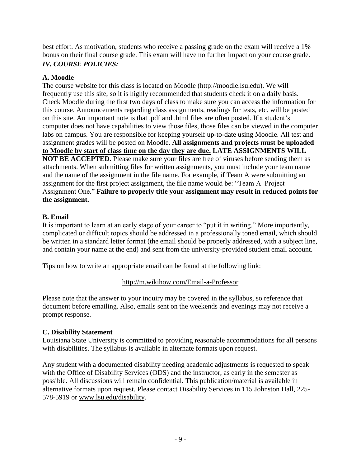best effort. As motivation, students who receive a passing grade on the exam will receive a 1% bonus on their final course grade. This exam will have no further impact on your course grade. *IV. COURSE POLICIES:*

### **A. Moodle**

The course website for this class is located on Moodle [\(http://moodle.lsu.edu\)](http://moodle.lsu.edu/). We will frequently use this site, so it is highly recommended that students check it on a daily basis. Check Moodle during the first two days of class to make sure you can access the information for this course. Announcements regarding class assignments, readings for tests, etc. will be posted on this site. An important note is that .pdf and .html files are often posted. If a student's computer does not have capabilities to view those files, those files can be viewed in the computer labs on campus. You are responsible for keeping yourself up-to-date using Moodle. All test and assignment grades will be posted on Moodle. **All assignments and projects must be uploaded to Moodle by start of class time on the day they are due. LATE ASSIGNMENTS WILL NOT BE ACCEPTED.** Please make sure your files are free of viruses before sending them as attachments. When submitting files for written assignments, you must include your team name and the name of the assignment in the file name. For example, if Team A were submitting an assignment for the first project assignment, the file name would be: "Team A\_Project Assignment One." **Failure to properly title your assignment may result in reduced points for the assignment.**

## **B. Email**

It is important to learn at an early stage of your career to "put it in writing." More importantly, complicated or difficult topics should be addressed in a professionally toned email, which should be written in a standard letter format (the email should be properly addressed, with a subject line, and contain your name at the end) and sent from the university-provided student email account.

Tips on how to write an appropriate email can be found at the following link:

#### <http://m.wikihow.com/Email-a-Professor>

Please note that the answer to your inquiry may be covered in the syllabus, so reference that document before emailing. Also, emails sent on the weekends and evenings may not receive a prompt response.

#### **C. Disability Statement**

Louisiana State University is committed to providing reasonable accommodations for all persons with disabilities. The syllabus is available in alternate formats upon request.

Any student with a documented disability needing academic adjustments is requested to speak with the Office of Disability Services (ODS) and the instructor, as early in the semester as possible. All discussions will remain confidential. This publication/material is available in alternative formats upon request. Please contact Disability Services in 115 Johnston Hall, 225- 578-5919 or [www.lsu.edu/disability.](http://www.lsu.edu/disability)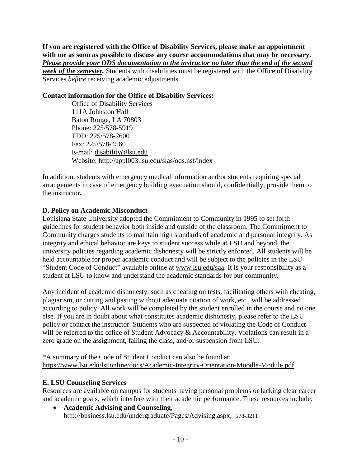**If you are registered with the Office of Disability Services, please make an appointment with me as soon as possible to discuss any course accommodations that may be necessary.** *Please provide your ODS documentation to the instructor no later than the end of the second week of the semester.* Students with disabilities must be registered with the Office of Disability Services *before* receiving academic adjustments.

## **Contact information for the Office of Disability Services:**

Office of Disability Services 111A Johnston Hall Baton Rouge, LA 70803 Phone: 225/578-5919 TDD: 225/578-2600 Fax: 225/578-4560 E-mail: [disability@lsu.edu](mailto:disability@lsu.edu) Website: <http://appl003.lsu.edu/slas/ods.nsf/index>

In addition, students with emergency medical information and/or students requiring special arrangements in case of emergency building evacuation should, confidentially, provide them to the instructor**.**

## **D. Policy on Academic Misconduct**

Louisiana State University adopted the Commitment to Community in 1995 to set forth guidelines for student behavior both inside and outside of the classroom. The Commitment to Community charges students to maintain high standards of academic and personal integrity. As integrity and ethical behavior are keys to student success while at LSU and beyond, the university policies regarding academic dishonesty will be strictly enforced. All students will be held accountable for proper academic conduct and will be subject to the policies in the LSU "Student Code of Conduct" available online at [www.lsu.edu/saa.](http://www.lsu.edu/saa) It is your responsibility as a student at LSU to know and understand the academic standards for our community.

Any incident of academic dishonesty, such as cheating on tests, facilitating others with cheating, plagiarism, or cutting and pasting without adequate citation of work, etc., will be addressed according to policy. All work will be completed by the student enrolled in the course and no one else. If you are in doubt about what constitutes academic dishonesty, please refer to the LSU policy or contact the instructor. Students who are suspected of violating the Code of Conduct will be referred to the office of Student Advocacy & Accountability. Violations can result in a zero grade on the assignment, failing the class, and/or suspension from LSU.

\*A summary of the Code of Student Conduct can also be found at: [https://www.lsu.edu/lsuonline/docs/Academic-Integrity-Orientation-Moodle-Module.pdf.](https://www.lsu.edu/lsuonline/docs/Academic-Integrity-Orientation-Moodle-Module.pdf)

## **E. LSU Counseling Services**

Resources are available on campus for students having personal problems or lacking clear career and academic goals, which interfere with their academic performance. These resources include:

 **Academic Advising and Counseling,**  [http://business.lsu.edu/undergraduate/Pages/Advising.aspx,](http://business.lsu.edu/undergraduate/Pages/Advising.aspx) 578-3211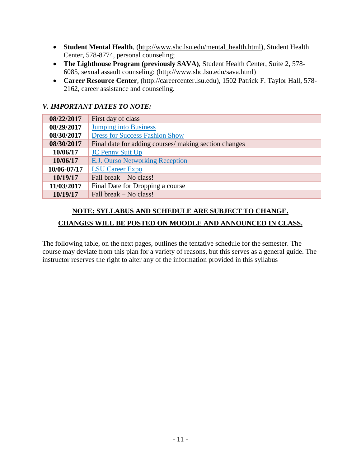- **Student Mental Health**, [\(http://www.shc.lsu.edu/mental\\_health.html\)](http://www.shc.lsu.edu/mental_health.html), Student Health Center, 578-8774, personal counseling;
- **The Lighthouse Program (previously SAVA)**, Student Health Center, Suite 2, 578- 6085, sexual assault counseling: [\(http://www.shc.lsu.edu/sava.html\)](http://www.shc.lsu.edu/sava.html)
- **Career Resource Center**, [\(http://careercenter.lsu.edu\)](http://careercenter.lsu.edu/), 1502 Patrick F. Taylor Hall, 578- 2162, career assistance and counseling.

## *V. IMPORTANT DATES TO NOTE:*

| 08/22/2017  | First day of class                                    |
|-------------|-------------------------------------------------------|
| 08/29/2017  | <b>Jumping into Business</b>                          |
| 08/30/2017  | <b>Dress for Success Fashion Show</b>                 |
| 08/30/2017  | Final date for adding courses/ making section changes |
| 10/06/17    | <b>JC Penny Suit Up</b>                               |
| 10/06/17    | <b>E.J. Ourso Networking Reception</b>                |
| 10/06-07/17 | <b>LSU Career Expo</b>                                |
| 10/19/17    | Fall break – No class!                                |
| 11/03/2017  | Final Date for Dropping a course                      |
| 10/19/17    | Fall break – No class!                                |

## **NOTE: SYLLABUS AND SCHEDULE ARE SUBJECT TO CHANGE. CHANGES WILL BE POSTED ON MOODLE AND ANNOUNCED IN CLASS.**

The following table, on the next pages, outlines the tentative schedule for the semester. The course may deviate from this plan for a variety of reasons, but this serves as a general guide. The instructor reserves the right to alter any of the information provided in this syllabus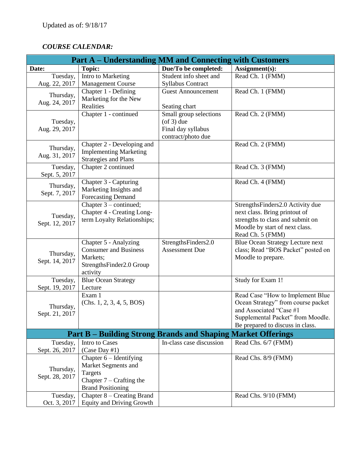## *COURSE CALENDAR:*

| <b>Part A – Understanding MM and Connecting with Customers</b>      |                                                                                                                       |                                                                                        |                                                                                                                                                                            |
|---------------------------------------------------------------------|-----------------------------------------------------------------------------------------------------------------------|----------------------------------------------------------------------------------------|----------------------------------------------------------------------------------------------------------------------------------------------------------------------------|
| Date:                                                               | <b>Topic:</b>                                                                                                         | Due/To be completed:                                                                   | Assignment(s):                                                                                                                                                             |
| Tuesday,<br>Aug. 22, 2017                                           | Intro to Marketing<br><b>Management Course</b>                                                                        | Student info sheet and<br>Syllabus Contract                                            | Read Ch. 1 (FMM)                                                                                                                                                           |
| Thursday,<br>Aug. 24, 2017                                          | Chapter 1 - Defining<br>Marketing for the New<br>Realities                                                            | <b>Guest Announcement</b><br>Seating chart                                             | Read Ch. 1 (FMM)                                                                                                                                                           |
| Tuesday,<br>Aug. 29, 2017                                           | Chapter 1 - continued                                                                                                 | Small group selections<br>$($ of 3 $)$ due<br>Final day syllabus<br>contract/photo due | Read Ch. 2 (FMM)                                                                                                                                                           |
| Thursday,<br>Aug. 31, 2017                                          | Chapter 2 - Developing and<br><b>Implementing Marketing</b><br><b>Strategies and Plans</b>                            |                                                                                        | Read Ch. 2 (FMM)                                                                                                                                                           |
| Tuesday,<br>Sept. 5, 2017                                           | Chapter 2 continued                                                                                                   |                                                                                        | Read Ch. 3 (FMM)                                                                                                                                                           |
| Thursday,<br>Sept. 7, 2017                                          | Chapter 3 - Capturing<br>Marketing Insights and<br><b>Forecasting Demand</b>                                          |                                                                                        | Read Ch. 4 (FMM)                                                                                                                                                           |
| Tuesday,<br>Sept. 12, 2017                                          | Chapter $3$ – continued;<br>Chapter 4 - Creating Long-<br>term Loyalty Relationships;                                 |                                                                                        | StrengthsFinders2.0 Activity due<br>next class. Bring printout of<br>strengths to class and submit on<br>Moodle by start of next class.<br>Read Ch. 5 (FMM)                |
| Thursday,<br>Sept. 14, 2017                                         | Chapter 5 - Analyzing<br><b>Consumer and Business</b><br>Markets;<br>StrengthsFinder2.0 Group<br>activity             | StrengthsFinders2.0<br><b>Assessment Due</b>                                           | <b>Blue Ocean Strategy Lecture next</b><br>class; Read "BOS Packet" posted on<br>Moodle to prepare.                                                                        |
| Tuesday,<br>Sept. 19, 2017                                          | <b>Blue Ocean Strategy</b><br>Lecture                                                                                 |                                                                                        | Study for Exam 1!                                                                                                                                                          |
| Thursday,<br>Sept. 21, 2017                                         | Exam 1<br>(Chs. 1, 2, 3, 4, 5, BOS)                                                                                   |                                                                                        | Read Case "How to Implement Blue<br>Ocean Strategy" from course packet<br>and Associated "Case #1<br>Supplemental Packet" from Moodle.<br>Be prepared to discuss in class. |
| <b>Part B – Building Strong Brands and Shaping Market Offerings</b> |                                                                                                                       |                                                                                        |                                                                                                                                                                            |
| Tuesday,<br>Sept. 26, 2017                                          | Intro to Cases<br>(Case Day #1)                                                                                       | In-class case discussion                                                               | Read Chs. 6/7 (FMM)                                                                                                                                                        |
| Thursday,<br>Sept. 28, 2017                                         | Chapter $6$ – Identifying<br>Market Segments and<br>Targets<br>Chapter $7$ – Crafting the<br><b>Brand Positioning</b> |                                                                                        | Read Chs. 8/9 (FMM)                                                                                                                                                        |
| Tuesday,<br>Oct. 3, 2017                                            | Chapter 8 – Creating Brand<br><b>Equity and Driving Growth</b>                                                        |                                                                                        | Read Chs. 9/10 (FMM)                                                                                                                                                       |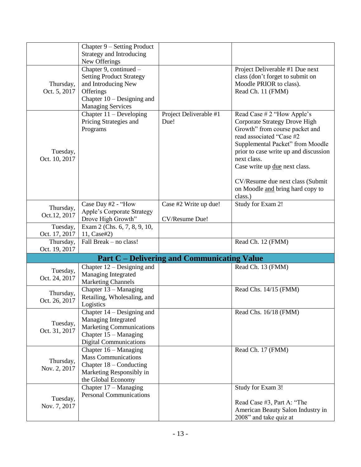|               | Chapter 9 – Setting Product                              |                                                    |                                             |
|---------------|----------------------------------------------------------|----------------------------------------------------|---------------------------------------------|
|               | <b>Strategy and Introducing</b>                          |                                                    |                                             |
|               | New Offerings                                            |                                                    |                                             |
|               | Chapter 9, continued -                                   |                                                    | Project Deliverable #1 Due next             |
|               | <b>Setting Product Strategy</b>                          |                                                    | class (don't forget to submit on            |
| Thursday,     | and Introducing New                                      |                                                    | Moodle PRIOR to class).                     |
| Oct. 5, 2017  | Offerings                                                |                                                    | Read Ch. 11 (FMM)                           |
|               | Chapter $10$ – Designing and                             |                                                    |                                             |
|               | <b>Managing Services</b>                                 |                                                    |                                             |
|               | Chapter $11 -$ Developing                                | Project Deliverable #1                             | Read Case # 2 "How Apple's                  |
|               | Pricing Strategies and                                   | Due!                                               | Corporate Strategy Drove High               |
|               | Programs                                                 |                                                    | Growth" from course packet and              |
|               |                                                          |                                                    | read associated "Case #2                    |
|               |                                                          |                                                    | Supplemental Packet" from Moodle            |
| Tuesday,      |                                                          |                                                    | prior to case write up and discussion       |
| Oct. 10, 2017 |                                                          |                                                    | next class.                                 |
|               |                                                          |                                                    | Case write up due next class.               |
|               |                                                          |                                                    |                                             |
|               |                                                          |                                                    | CV/Resume due next class (Submit            |
|               |                                                          |                                                    | on Moodle and bring hard copy to<br>class.) |
|               | Case Day #2 - "How                                       | Case #2 Write up due!                              | Study for Exam 2!                           |
| Thursday,     | <b>Apple's Corporate Strategy</b>                        |                                                    |                                             |
| Oct.12, 2017  | Drove High Growth"                                       | CV/Resume Due!                                     |                                             |
| Tuesday,      | Exam 2 (Chs. 6, 7, 8, 9, 10,                             |                                                    |                                             |
| Oct. 17, 2017 | 11, Case#2)                                              |                                                    |                                             |
| Thursday,     | Fall Break - no class!                                   |                                                    | Read Ch. 12 (FMM)                           |
| Oct. 19, 2017 |                                                          |                                                    |                                             |
|               |                                                          | <b>Part C</b> – Delivering and Communicating Value |                                             |
| Tuesday,      | Chapter $12$ – Designing and                             |                                                    | Read Ch. 13 (FMM)                           |
| Oct. 24, 2017 | Managing Integrated                                      |                                                    |                                             |
|               | <b>Marketing Channels</b>                                |                                                    |                                             |
| Thursday,     | Chapter $13 -$ Managing                                  |                                                    | Read Chs. 14/15 (FMM)                       |
| Oct. 26, 2017 | Retailing, Wholesaling, and                              |                                                    |                                             |
|               | Logistics                                                |                                                    |                                             |
|               | Chapter $14 -$ Designing and                             |                                                    | Read Chs. 16/18 (FMM)                       |
| Tuesday,      | <b>Managing Integrated</b>                               |                                                    |                                             |
| Oct. 31, 2017 | <b>Marketing Communications</b>                          |                                                    |                                             |
|               | Chapter $15 -$ Managing                                  |                                                    |                                             |
|               | <b>Digital Communications</b><br>Chapter $16 -$ Managing |                                                    | Read Ch. 17 (FMM)                           |
|               | <b>Mass Communications</b>                               |                                                    |                                             |
| Thursday,     | Chapter $18$ – Conducting                                |                                                    |                                             |
| Nov. 2, 2017  | Marketing Responsibly in                                 |                                                    |                                             |
|               | the Global Economy                                       |                                                    |                                             |
|               | Chapter $17 -$ Managing                                  |                                                    | Study for Exam 3!                           |
|               | <b>Personal Communications</b>                           |                                                    |                                             |
| Tuesday,      |                                                          |                                                    | Read Case #3, Part A: "The                  |
| Nov. 7, 2017  |                                                          |                                                    | American Beauty Salon Industry in           |
|               |                                                          |                                                    | 2008" and take quiz at                      |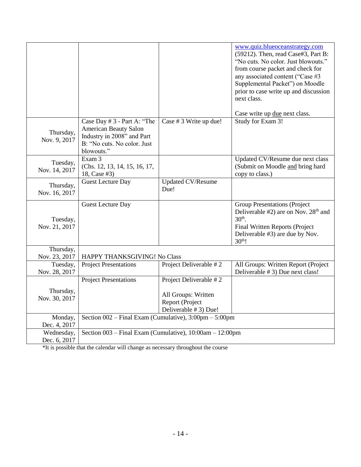|                            |                                                                                                                                        |                                                                 | www.quiz.blueoceanstrategy.com<br>(59212). Then, read Case#3, Part B:<br>"No cuts. No color. Just blowouts."<br>from course packet and check for<br>any associated content ("Case #3<br>Supplemental Packet") on Moodle<br>prior to case write up and discussion<br>next class.<br>Case write up due next class. |
|----------------------------|----------------------------------------------------------------------------------------------------------------------------------------|-----------------------------------------------------------------|------------------------------------------------------------------------------------------------------------------------------------------------------------------------------------------------------------------------------------------------------------------------------------------------------------------|
| Thursday,<br>Nov. 9, 2017  | Case Day # 3 - Part A: "The<br><b>American Beauty Salon</b><br>Industry in 2008" and Part<br>B: "No cuts. No color. Just<br>blowouts." | Case # 3 Write up due!                                          | Study for Exam 3!                                                                                                                                                                                                                                                                                                |
| Tuesday,<br>Nov. 14, 2017  | Exam 3<br>(Chs. 12, 13, 14, 15, 16, 17,<br>18, Case #3)                                                                                |                                                                 | Updated CV/Resume due next class<br>(Submit on Moodle and bring hard<br>copy to class.)                                                                                                                                                                                                                          |
| Thursday,<br>Nov. 16, 2017 | <b>Guest Lecture Day</b>                                                                                                               | Updated CV/Resume<br>Due!                                       |                                                                                                                                                                                                                                                                                                                  |
| Tuesday,<br>Nov. 21, 2017  | <b>Guest Lecture Day</b>                                                                                                               |                                                                 | <b>Group Presentations (Project</b><br>Deliverable #2) are on Nov. 28 <sup>th</sup> and<br>$30th$ .<br>Final Written Reports (Project<br>Deliverable #3) are due by Nov.<br>30 <sup>th</sup> !                                                                                                                   |
| Thursday,<br>Nov. 23, 2017 | HAPPY THANKSGIVING! No Class                                                                                                           |                                                                 |                                                                                                                                                                                                                                                                                                                  |
| Tuesday,<br>Nov. 28, 2017  | <b>Project Presentations</b>                                                                                                           | Project Deliverable #2                                          | All Groups: Written Report (Project<br>Deliverable # 3) Due next class!                                                                                                                                                                                                                                          |
|                            | <b>Project Presentations</b>                                                                                                           | Project Deliverable #2                                          |                                                                                                                                                                                                                                                                                                                  |
| Thursday,<br>Nov. 30, 2017 |                                                                                                                                        | All Groups: Written<br>Report (Project<br>Deliverable # 3) Due! |                                                                                                                                                                                                                                                                                                                  |
| Monday,<br>Dec. 4, 2017    | Section 002 - Final Exam (Cumulative), 3:00pm - 5:00pm                                                                                 |                                                                 |                                                                                                                                                                                                                                                                                                                  |
| Wednesday,<br>Dec. 6, 2017 | Section 003 - Final Exam (Cumulative), 10:00am - 12:00pm                                                                               |                                                                 |                                                                                                                                                                                                                                                                                                                  |

\*It is possible that the calendar will change as necessary throughout the course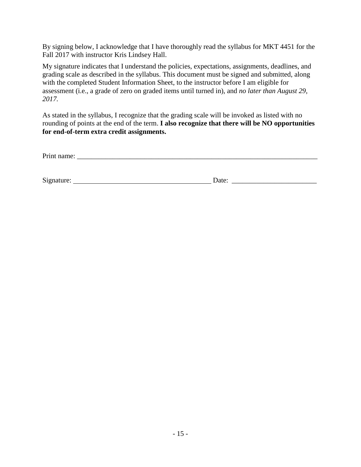By signing below, I acknowledge that I have thoroughly read the syllabus for MKT 4451 for the Fall 2017 with instructor Kris Lindsey Hall.

My signature indicates that I understand the policies, expectations, assignments, deadlines, and grading scale as described in the syllabus. This document must be signed and submitted, along with the completed Student Information Sheet, to the instructor before I am eligible for assessment (i.e., a grade of zero on graded items until turned in), and *no later than August 29, 2017.*

As stated in the syllabus, I recognize that the grading scale will be invoked as listed with no rounding of points at the end of the term. **I also recognize that there will be NO opportunities for end-of-term extra credit assignments.**

| Signature: | Jate. |  |
|------------|-------|--|
|            |       |  |